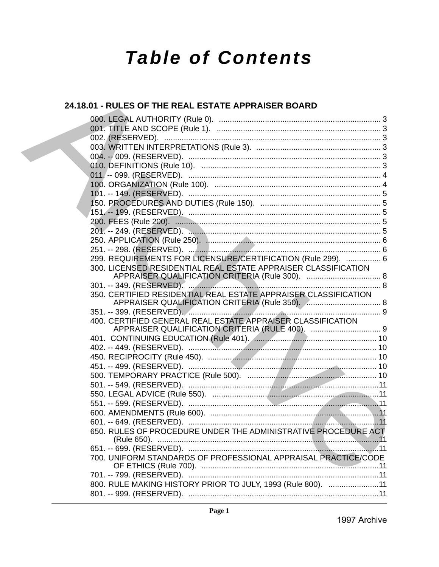# **Table of Contents**

## 24.18.01 - RULES OF THE REAL ESTATE APPRAISER BOARD

| 299. REQUIREMENTS FOR LICENSURE/CERTIFICATION (Rule 299).  6                                                                        |  |
|-------------------------------------------------------------------------------------------------------------------------------------|--|
| 300. LICENSED RESIDENTIAL REAL ESTATE APPRAISER CLASSIFICATION                                                                      |  |
|                                                                                                                                     |  |
| 350. CERTIFIED RESIDENTIAL REAL ESTATE APPRAISER CLASSIFICATION<br>APPRAISER QUALIFICATION CRITERIA (Rule 350). Annunculation and 8 |  |
| 351. -- 399. (RESERVED). And March March 2011. And March 3. March 3. 19. 19. 19. March 2014. 19. 19. 19. 19. 1                      |  |
| 400. CERTIFIED GENERAL REAL ESTATE APPRAISER CLASSIFICATION                                                                         |  |
|                                                                                                                                     |  |
|                                                                                                                                     |  |
|                                                                                                                                     |  |
|                                                                                                                                     |  |
|                                                                                                                                     |  |
|                                                                                                                                     |  |
|                                                                                                                                     |  |
|                                                                                                                                     |  |
|                                                                                                                                     |  |
|                                                                                                                                     |  |
|                                                                                                                                     |  |
| 650. RULES OF PROCEDURE UNDER THE ADMINISTRATIVE PROCEDURE ACT                                                                      |  |
|                                                                                                                                     |  |
| 700. UNIFORM STANDARDS OF PROFESSIONAL APPRAISAL PRACTICE/CODE                                                                      |  |
|                                                                                                                                     |  |
| 800. RULE MAKING HISTORY PRIOR TO JULY, 1993 (Rule 800). 11                                                                         |  |
|                                                                                                                                     |  |
|                                                                                                                                     |  |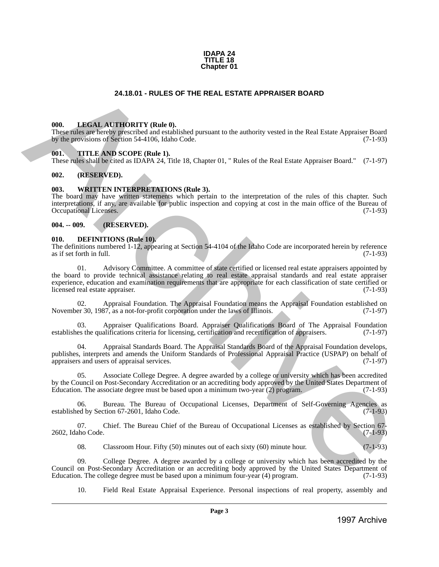

### **24.18.01 - RULES OF THE REAL ESTATE APPRAISER BOARD**

### <span id="page-1-1"></span>**000. LEGAL AUTHORITY (Rule 0).**

These rules are hereby prescribed and established pursuant to the authority vested in the Real Estate Appraiser Board by the provisions of Section 54-4106, Idaho Code. (7-1-93)

### <span id="page-1-2"></span>**001. TITLE AND SCOPE (Rule 1).**

These rules shall be cited as IDAPA 24, Title 18, Chapter 01, " Rules of the Real Estate Appraiser Board." (7-1-97)

### <span id="page-1-3"></span>**002. (RESERVED).**

### <span id="page-1-4"></span>**003. WRITTEN INTERPRETATIONS (Rule 3).**

The board may have written statements which pertain to the interpretation of the rules of this chapter. Such interpretations, if any, are available for public inspection and copying at cost in the main office of the Bureau of Occupational Licenses. (7-1-93)

### <span id="page-1-5"></span>**004. -- 009. (RESERVED).**

### <span id="page-1-6"></span>**010. DEFINITIONS (Rule 10).**

The definitions numbered 1-12, appearing at Section 54-4104 of the Idaho Code are incorporated herein by reference as if set forth in full.

<span id="page-1-0"></span>01. Advisory Committee. A committee of state certified or licensed real estate appraisers appointed by the board to provide technical assistance relating to real estate appraisal standards and real estate appraiser experience, education and examination requirements that are appropriate for each classification of state certified or licensed real estate appraiser. (7-1-93) **24.16.01 - RULES OF THE REAL ESTATE APPRAISER BOARD<br>
1998.** LIBERAL ATTICURENTY (Reds.),<br>
The presentation is dependent to the interest vector of the liberal vector of the liberal Appendix Board<br>
1997. THE ARCHIVEORY (Re

02. Appraisal Foundation. The Appraisal Foundation means the Appraisal Foundation established on November 30, 1987, as a not-for-profit corporation under the laws of Illinois. (7-1-97)

03. Appraiser Qualifications Board. Appraiser Qualifications Board of The Appraisal Foundation establishes the qualifications criteria for licensing, certification and recertification of appraisers. (7-1-97)

04. Appraisal Standards Board. The Appraisal Standards Board of the Appraisal Foundation develops, publishes, interprets and amends the Uniform Standards of Professional Appraisal Practice (USPAP) on behalf of appraisers and users of appraisal services. (7-1-97) appraisers and users of appraisal services.

Associate College Degree. A degree awarded by a college or university which has been accredited by the Council on Post-Secondary Accreditation or an accrediting body approved by the United States Department of Education. The associate degree must be based upon a minimum two-year (2) program. (7-1-93) Education. The associate degree must be based upon a minimum two-year  $(2)$  program.

Bureau. The Bureau of Occupational Licenses, Department of Self-Governing Agencies as estion 67-2601. Idaho Code. (7-1-93) established by Section 67-2601, Idaho Code.

07. Chief. The Bureau Chief of the Bureau of Occupational Licenses as established by Section 67-<br>(7-1-93) 2602, Idaho Code.

08. Classroom Hour. Fifty (50) minutes out of each sixty (60) minute hour. (7-1-93)

09. College Degree. A degree awarded by a college or university which has been accredited by the Council on Post-Secondary Accreditation or an accrediting body approved by the United States Department of Education. The college degree must be based upon a minimum four-year (4) program. (7-1-93) Education. The college degree must be based upon a minimum four-year (4) program.

10. Field Real Estate Appraisal Experience. Personal inspections of real property, assembly and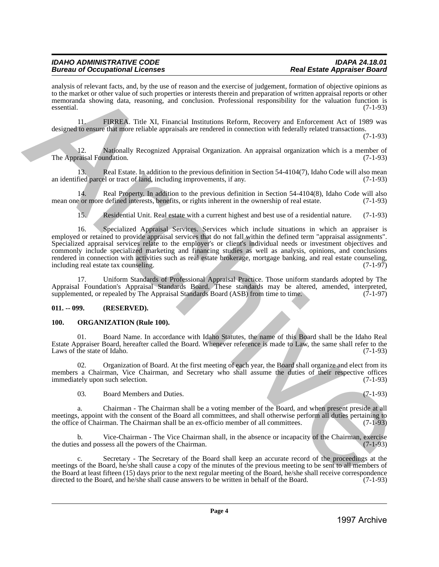analysis of relevant facts, and, by the use of reason and the exercise of judgement, formation of objective opinions as to the market or other value of such properties or interests therein and preparation of written appraisal reports or other memoranda showing data, reasoning, and conclusion. Professional responsibility for the valuation function is essential. (7-1-93)

11. FIRREA. Title XI, Financial Institutions Reform, Recovery and Enforcement Act of 1989 was designed to ensure that more reliable appraisals are rendered in connection with federally related transactions.

(7-1-93)

12. Nationally Recognized Appraisal Organization. An appraisal organization which is a member of raisal Foundation. (7-1-93) The Appraisal Foundation.

13. Real Estate. In addition to the previous definition in Section 54-4104(7), Idaho Code will also mean fied parcel or tract of land, including improvements, if any. (7-1-93) an identified parcel or tract of land, including improvements, if any.

14. Real Property. In addition to the previous definition in Section 54-4104(8), Idaho Code will also cor more defined interests, benefits, or rights inherent in the ownership of real estate. (7-1-93) mean one or more defined interests, benefits, or rights inherent in the ownership of real estate.

15. Residential Unit. Real estate with a current highest and best use of a residential nature. (7-1-93)

16. Specialized Appraisal Services. Services which include situations in which an appraiser is employed or retained to provide appraisal services that do not fall within the defined term "appraisal assignments". Specialized appraisal services relate to the employer's or client's individual needs or investment objectives and commonly include specialized marketing and financing studies as well as analysis, opinions, and conclusions rendered in connection with activities such as real estate brokerage, mortgage banking, and real estate counseling, including real estate tax counseling. including real estate tax counseling. anciero de Archives Archives Archives Archives Archives Archives Archives Archives Archives Archives Archives Archives Archives Archives Archives Archives Archives Archives Archives Archives Archives Archives Archives A

17. Uniform Standards of Professional Appraisal Practice. Those uniform standards adopted by The Appraisal Foundation's Appraisal Standards Board. These standards may be altered, amended, interpreted, supplemented, or repealed by The Appraisal Standards Board (ASB) from time to time. (7-1-97)

### <span id="page-2-0"></span>**011. -- 099. (RESERVED).**

### <span id="page-2-1"></span>**100. ORGANIZATION (Rule 100).**

01. Board Name. In accordance with Idaho Statutes, the name of this Board shall be the Idaho Real Estate Appraiser Board, hereafter called the Board. Whenever reference is made to Law, the same shall refer to the Laws of the state of Idaho.

02. Organization of Board. At the first meeting of each year, the Board shall organize and elect from its members a Chairman, Vice Chairman, and Secretary who shall assume the duties of their respective offices immediately upon such selection. (7-1-93) immediately upon such selection.

03. Board Members and Duties. (7-1-93)

a. Chairman - The Chairman shall be a voting member of the Board, and when present preside at all meetings, appoint with the consent of the Board all committees, and shall otherwise perform all duties pertaining to the office of Chairman. The Chairman shall be an ex-officio member of all committees. (7-1-93)

Vice-Chairman - The Vice Chairman shall, in the absence or incapacity of the Chairman, exercise sess all the powers of the Chairman. the duties and possess all the powers of the Chairman.

c. Secretary - The Secretary of the Board shall keep an accurate record of the proceedings at the meetings of the Board, he/she shall cause a copy of the minutes of the previous meeting to be sent to all members of the Board at least fifteen (15) days prior to the next regular meeting of the Board, he/she shall receive correspondence directed to the Board, and he/she shall cause answers to be written in behalf of the Board. (7-1-93) directed to the Board, and he/she shall cause answers to be written in behalf of the Board.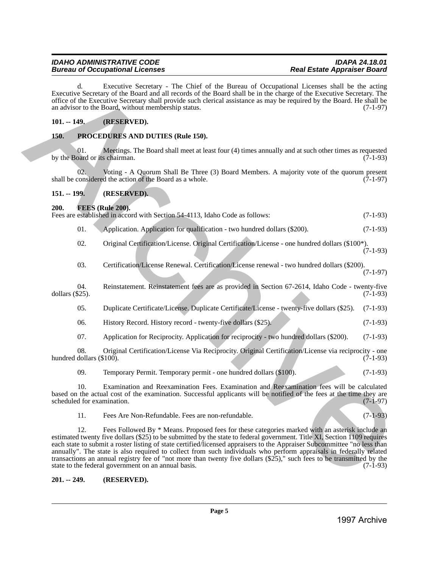d. Executive Secretary - The Chief of the Bureau of Occupational Licenses shall be the acting Executive Secretary of the Board and all records of the Board shall be in the charge of the Executive Secretary. The office of the Executive Secretary shall provide such clerical assistance as may be required by the Board. He shall be an advisor to the Board, without membership status. (7-1-97)

### <span id="page-3-0"></span>**101. -- 149. (RESERVED).**

### <span id="page-3-1"></span>**150. PROCEDURES AND DUTIES (Rule 150).**

01. Meetings. The Board shall meet at least four (4) times annually and at such other times as requested oard or its chairman. (7-1-93) by the Board or its chairman.

02. Voting - A Quorum Shall Be Three (3) Board Members. A majority vote of the quorum present considered the action of the Board as a whole. (7-1-97) shall be considered the action of the Board as a whole.

### <span id="page-3-2"></span>**151. -- 199. (RESERVED).**

### <span id="page-3-3"></span>**200. FEES (Rule 200).**

Fees are established in accord with Section 54-4113, Idaho Code as follows: (7-1-93)

| -01. |  |  | Application. Application for qualification - two hundred dollars (\$200). | $(7-1-93)$ |
|------|--|--|---------------------------------------------------------------------------|------------|
|------|--|--|---------------------------------------------------------------------------|------------|

02. Original Certification/License. Original Certification/License - one hundred dollars (\$100\*). (7-1-93)

03. Certification/License Renewal. Certification/License renewal - two hundred dollars (\$200).

(7-1-97)

04. Reinstatement. Reinstatement fees are as provided in Section 67-2614, Idaho Code - twenty-five (525). dollars  $(\$25)$ .

| -05. | Duplicate Certificate/License, Duplicate Certificate/License - twenty-five dollars (\$25). (7-1-93) |  |  |  |
|------|-----------------------------------------------------------------------------------------------------|--|--|--|
|      |                                                                                                     |  |  |  |

06. History Record. History record - twenty-five dollars (\$25). (7-1-93)

07. Application for Reciprocity. Application for reciprocity - two hundred dollars (\$200). (7-1-93)

08. Original Certification/License Via Reciprocity. Original Certification/License via reciprocity - one dollars (\$100). (7-1-93) hundred dollars  $(\$100)$ .

09. Temporary Permit. Temporary permit - one hundred dollars (\$100). (7-1-93)

10. Examination and Reexamination Fees. Examination and Reexamination fees will be calculated based on the actual cost of the examination. Successful applicants will be notified of the fees at the time they are scheduled for examination.

11. Fees Are Non-Refundable. Fees are non-refundable. (7-1-93)

12. Fees Followed By \* Means. Proposed fees for these categories marked with an asterisk include an estimated twenty five dollars (\$25) to be submitted by the state to federal government. Title XI, Section 1109 requires each state to submit a roster listing of state certified/licensed appraisers to the Appraiser Subcommittee "no less than annually". The state is also required to collect from such individuals who perform appraisals in federally related transactions an annual registry fee of "not more than twenty five dollars  $(\$25)$ ," such fees to be transmitted by the state to the federal government on an annual basis. state to the federal government on an annual basis. Example, the matrix Section 11 in Cliential at the Barnel of Computeriol Herenover, and the matrix Section 11 in the matrix Section 11 in the matrix Section 11 in the matrix Section 11 in the matrix Section 11 in the matr

<span id="page-3-4"></span>**201. -- 249. (RESERVED).**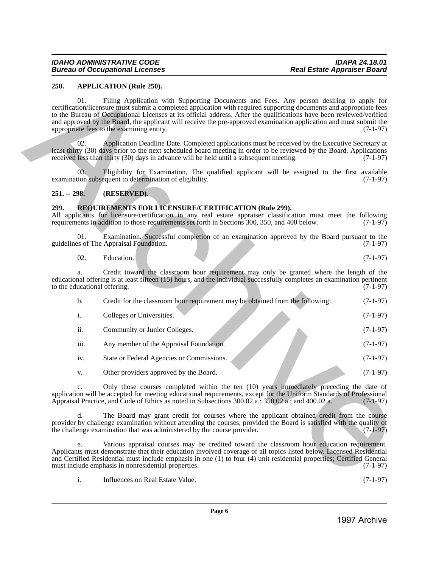### <span id="page-4-0"></span>**250. APPLICATION (Rule 250).**

### <span id="page-4-1"></span>**251. -- 298. (RESERVED).**

### <span id="page-4-2"></span>**299. REQUIREMENTS FOR LICENSURE/CERTIFICATION (Rule 299).**

| 02. | Education. |  | $(7-1-97)$<br>$\overline{\phantom{a}}$ |
|-----|------------|--|----------------------------------------|
|     |            |  |                                        |

| 01.<br>Filing Application with Supporting Documents and Fees. Any person desiring to apply for<br>certification/licensure must submit a completed application with required supporting documents and appropriate fees<br>to the Bureau of Occupational Licenses at its official address. After the qualifications have been reviewed/verified<br>and approved by the Board, the applicant will receive the pre-approved examination application and must submit the<br>appropriate fees to the examining entity.<br>Application Deadline Date. Completed applications must be received by the Executive Secretary at<br>02.<br>least thirty (30) days prior to the next scheduled board meeting in order to be reviewed by the Board. Applications<br>received less than thirty (30) days in advance will be held until a subsequent meeting.<br>03.<br>Eligibility for Examination, The qualified applicant will be assigned to the first available<br>examination subsequent to determination of eligibility.<br>$251 - 298$ .<br>(RESERVED).<br><b>REQUIREMENTS FOR LICENSURE/CERTIFICATION (Rule 299).</b><br>All applicants for licensure/certification in any real estate appraiser classification must meet the following<br>requirements in addition to those requirements set forth in Sections 300, 350, and 400 below.<br>Examination. Successful completion of an examination approved by the Board pursuant to the<br>01.<br>guidelines of The Appraisal Foundation.<br>02.<br>Education.<br>Credit toward the classroom hour requirement may only be granted where the length of the<br>a.<br>educational offering is at least fifteen (15) hours, and the individual successfully completes an examination pertinent<br>to the educational offering. | $(7-1-97)$<br>$(7-1-97)$<br>$(7-1-97)$<br>$(7-1-97)$<br>$(7-1-97)$<br>$(7-1-97)$<br>$(7-1-97)$ |
|---------------------------------------------------------------------------------------------------------------------------------------------------------------------------------------------------------------------------------------------------------------------------------------------------------------------------------------------------------------------------------------------------------------------------------------------------------------------------------------------------------------------------------------------------------------------------------------------------------------------------------------------------------------------------------------------------------------------------------------------------------------------------------------------------------------------------------------------------------------------------------------------------------------------------------------------------------------------------------------------------------------------------------------------------------------------------------------------------------------------------------------------------------------------------------------------------------------------------------------------------------------------------------------------------------------------------------------------------------------------------------------------------------------------------------------------------------------------------------------------------------------------------------------------------------------------------------------------------------------------------------------------------------------------------------------------------------------------------------------------------------------------|------------------------------------------------------------------------------------------------|
|                                                                                                                                                                                                                                                                                                                                                                                                                                                                                                                                                                                                                                                                                                                                                                                                                                                                                                                                                                                                                                                                                                                                                                                                                                                                                                                                                                                                                                                                                                                                                                                                                                                                                                                                                                     |                                                                                                |
|                                                                                                                                                                                                                                                                                                                                                                                                                                                                                                                                                                                                                                                                                                                                                                                                                                                                                                                                                                                                                                                                                                                                                                                                                                                                                                                                                                                                                                                                                                                                                                                                                                                                                                                                                                     |                                                                                                |
|                                                                                                                                                                                                                                                                                                                                                                                                                                                                                                                                                                                                                                                                                                                                                                                                                                                                                                                                                                                                                                                                                                                                                                                                                                                                                                                                                                                                                                                                                                                                                                                                                                                                                                                                                                     |                                                                                                |
|                                                                                                                                                                                                                                                                                                                                                                                                                                                                                                                                                                                                                                                                                                                                                                                                                                                                                                                                                                                                                                                                                                                                                                                                                                                                                                                                                                                                                                                                                                                                                                                                                                                                                                                                                                     |                                                                                                |
|                                                                                                                                                                                                                                                                                                                                                                                                                                                                                                                                                                                                                                                                                                                                                                                                                                                                                                                                                                                                                                                                                                                                                                                                                                                                                                                                                                                                                                                                                                                                                                                                                                                                                                                                                                     |                                                                                                |
|                                                                                                                                                                                                                                                                                                                                                                                                                                                                                                                                                                                                                                                                                                                                                                                                                                                                                                                                                                                                                                                                                                                                                                                                                                                                                                                                                                                                                                                                                                                                                                                                                                                                                                                                                                     |                                                                                                |
|                                                                                                                                                                                                                                                                                                                                                                                                                                                                                                                                                                                                                                                                                                                                                                                                                                                                                                                                                                                                                                                                                                                                                                                                                                                                                                                                                                                                                                                                                                                                                                                                                                                                                                                                                                     |                                                                                                |
|                                                                                                                                                                                                                                                                                                                                                                                                                                                                                                                                                                                                                                                                                                                                                                                                                                                                                                                                                                                                                                                                                                                                                                                                                                                                                                                                                                                                                                                                                                                                                                                                                                                                                                                                                                     |                                                                                                |
| b.<br>Credit for the classroom hour requirement may be obtained from the following:                                                                                                                                                                                                                                                                                                                                                                                                                                                                                                                                                                                                                                                                                                                                                                                                                                                                                                                                                                                                                                                                                                                                                                                                                                                                                                                                                                                                                                                                                                                                                                                                                                                                                 | $(7-1-97)$                                                                                     |
| i.<br>Colleges or Universities.                                                                                                                                                                                                                                                                                                                                                                                                                                                                                                                                                                                                                                                                                                                                                                                                                                                                                                                                                                                                                                                                                                                                                                                                                                                                                                                                                                                                                                                                                                                                                                                                                                                                                                                                     | $(7-1-97)$                                                                                     |
| ii.<br>Community or Junior Colleges.                                                                                                                                                                                                                                                                                                                                                                                                                                                                                                                                                                                                                                                                                                                                                                                                                                                                                                                                                                                                                                                                                                                                                                                                                                                                                                                                                                                                                                                                                                                                                                                                                                                                                                                                | $(7-1-97)$                                                                                     |
| iii.<br>Any member of the Appraisal Foundation.                                                                                                                                                                                                                                                                                                                                                                                                                                                                                                                                                                                                                                                                                                                                                                                                                                                                                                                                                                                                                                                                                                                                                                                                                                                                                                                                                                                                                                                                                                                                                                                                                                                                                                                     | $(7-1-97)$                                                                                     |
| iv.<br>State or Federal Agencies or Commissions.                                                                                                                                                                                                                                                                                                                                                                                                                                                                                                                                                                                                                                                                                                                                                                                                                                                                                                                                                                                                                                                                                                                                                                                                                                                                                                                                                                                                                                                                                                                                                                                                                                                                                                                    | $(7-1-97)$                                                                                     |
| Other providers approved by the Board.<br>V.                                                                                                                                                                                                                                                                                                                                                                                                                                                                                                                                                                                                                                                                                                                                                                                                                                                                                                                                                                                                                                                                                                                                                                                                                                                                                                                                                                                                                                                                                                                                                                                                                                                                                                                        | $(7-1-97)$                                                                                     |
| Only those courses completed within the ten (10) years immediately preceding the date of<br>c.<br>application will be accepted for meeting educational requirements, except for the Uniform Standards of Professional<br>Appraisal Practice, and Code of Ethics as noted in Subsections 300.02.a.; 350.02.a.; and 400.02.a.                                                                                                                                                                                                                                                                                                                                                                                                                                                                                                                                                                                                                                                                                                                                                                                                                                                                                                                                                                                                                                                                                                                                                                                                                                                                                                                                                                                                                                         | $(7-1-97)$                                                                                     |
| The Board may grant credit for courses where the applicant obtained credit from the course<br>d.<br>provider by challenge examination without attending the courses, provided the Board is satisfied with the quality of<br>the challenge examination that was administered by the course provider.                                                                                                                                                                                                                                                                                                                                                                                                                                                                                                                                                                                                                                                                                                                                                                                                                                                                                                                                                                                                                                                                                                                                                                                                                                                                                                                                                                                                                                                                 | $(7-1-97)$                                                                                     |
| Various appraisal courses may be credited toward the classroom hour education requirement.<br>e.<br>Applicants must demonstrate that their education involved coverage of all topics listed below. Licensed Residential<br>and Certified Residential must include emphasis in one (1) to four (4) unit residential properties; Certified General<br>must include emphasis in nonresidential properties.                                                                                                                                                                                                                                                                                                                                                                                                                                                                                                                                                                                                                                                                                                                                                                                                                                                                                                                                                                                                                                                                                                                                                                                                                                                                                                                                                             | $(7-1-97)$                                                                                     |
| i.<br>Influences on Real Estate Value.                                                                                                                                                                                                                                                                                                                                                                                                                                                                                                                                                                                                                                                                                                                                                                                                                                                                                                                                                                                                                                                                                                                                                                                                                                                                                                                                                                                                                                                                                                                                                                                                                                                                                                                              | $(7-1-97)$                                                                                     |
|                                                                                                                                                                                                                                                                                                                                                                                                                                                                                                                                                                                                                                                                                                                                                                                                                                                                                                                                                                                                                                                                                                                                                                                                                                                                                                                                                                                                                                                                                                                                                                                                                                                                                                                                                                     |                                                                                                |
|                                                                                                                                                                                                                                                                                                                                                                                                                                                                                                                                                                                                                                                                                                                                                                                                                                                                                                                                                                                                                                                                                                                                                                                                                                                                                                                                                                                                                                                                                                                                                                                                                                                                                                                                                                     | Page 6<br>1997 Archive                                                                         |

|  | Influences on Real Estate Value. | $(7-1-97)$ |
|--|----------------------------------|------------|
|--|----------------------------------|------------|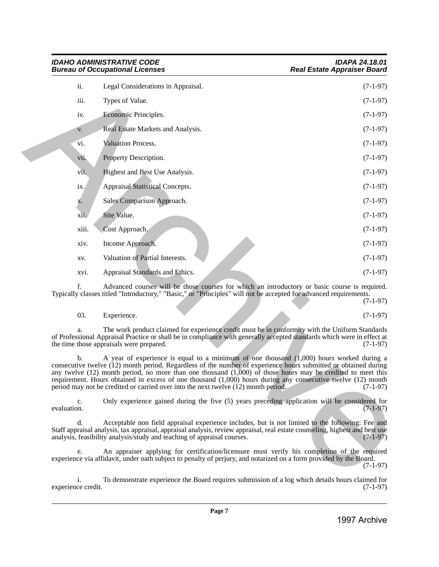|                          | <b>IDAHO ADMINISTRATIVE CODE</b><br><b>Bureau of Occupational Licenses</b>                                                                                                                                                                                                                                                                                                                                                                                                                                                             | <b>IDAPA 24.18.01</b><br><b>Real Estate Appraiser Board</b> |  |  |
|--------------------------|----------------------------------------------------------------------------------------------------------------------------------------------------------------------------------------------------------------------------------------------------------------------------------------------------------------------------------------------------------------------------------------------------------------------------------------------------------------------------------------------------------------------------------------|-------------------------------------------------------------|--|--|
| ii.                      | Legal Considerations in Appraisal.                                                                                                                                                                                                                                                                                                                                                                                                                                                                                                     | $(7-1-97)$                                                  |  |  |
| iii.                     | Types of Value.                                                                                                                                                                                                                                                                                                                                                                                                                                                                                                                        | $(7-1-97)$                                                  |  |  |
| iv.                      | Economic Principles.                                                                                                                                                                                                                                                                                                                                                                                                                                                                                                                   | $(7-1-97)$                                                  |  |  |
| V.                       | Real Estate Markets and Analysis.                                                                                                                                                                                                                                                                                                                                                                                                                                                                                                      | $(7-1-97)$                                                  |  |  |
| vi.                      | Valuation Process.                                                                                                                                                                                                                                                                                                                                                                                                                                                                                                                     | $(7-1-97)$                                                  |  |  |
| vii.                     | Property Description.                                                                                                                                                                                                                                                                                                                                                                                                                                                                                                                  | $(7-1-97)$                                                  |  |  |
| vii.                     | Highest and Best Use Analysis.                                                                                                                                                                                                                                                                                                                                                                                                                                                                                                         | $(7-1-97)$                                                  |  |  |
| ix.                      | <b>Appraisal Statistical Concepts.</b>                                                                                                                                                                                                                                                                                                                                                                                                                                                                                                 | $(7-1-97)$                                                  |  |  |
| х.                       | Sales Comparison Approach.                                                                                                                                                                                                                                                                                                                                                                                                                                                                                                             | $(7-1-97)$                                                  |  |  |
| xii.                     | Site Value.                                                                                                                                                                                                                                                                                                                                                                                                                                                                                                                            | $(7-1-97)$                                                  |  |  |
| xiii.                    | Cost Approach.                                                                                                                                                                                                                                                                                                                                                                                                                                                                                                                         | $(7-1-97)$                                                  |  |  |
| xiv.                     | Income Approach.                                                                                                                                                                                                                                                                                                                                                                                                                                                                                                                       | $(7-1-97)$                                                  |  |  |
| XV.                      | Valuation of Partial Interests.                                                                                                                                                                                                                                                                                                                                                                                                                                                                                                        | $(7-1-97)$                                                  |  |  |
| XVI.                     | Appraisal Standards and Ethics.                                                                                                                                                                                                                                                                                                                                                                                                                                                                                                        | $(7-1-97)$                                                  |  |  |
| f.                       | Advanced courses will be those courses for which an introductory or basic course is required.<br>Typically classes titled "Introductory," "Basic," or "Principles" will not be accepted for advanced requirements.                                                                                                                                                                                                                                                                                                                     | $(7-1-97)$                                                  |  |  |
| 03.                      | Experience.                                                                                                                                                                                                                                                                                                                                                                                                                                                                                                                            | $(7-1-97)$                                                  |  |  |
| a.                       | The work product claimed for experience credit must be in conformity with the Uniform Standards<br>of Professional Appraisal Practice or shall be in compliance with generally accepted standards which were in effect at<br>the time those appraisals were prepared.                                                                                                                                                                                                                                                                  | $(7-1-97)$                                                  |  |  |
| $\mathbf{b}$ .           | A year of experience is equal to a minimum of one thousand $(1,000)$ hours worked during a<br>consecutive twelve (12) month period. Regardless of the number of experience hours submitted or obtained during<br>any twelve $(12)$ month period, no more than one thousand $(1,000)$ of those hours may be credited to meet this<br>requirement. Hours obtained in excess of one thousand (1,000) hours during any consecutive twelve (12) month<br>period may not be credited or carried over into the next twelve (12) month period. | $(7-1-97)$                                                  |  |  |
| c.<br>evaluation.        | Only experience gained during the five (5) years preceding application will be considered for                                                                                                                                                                                                                                                                                                                                                                                                                                          | $(7-1-97)$                                                  |  |  |
| d.                       | Acceptable non field appraisal experience includes, but is not limited to the following: Fee and<br>Staff appraisal analysis, tax appraisal, appraisal analysis, review appraisal, real estate counseling, highest and best use<br>analysis, feasibility analysis/study and teaching of appraisal courses.                                                                                                                                                                                                                             | $(7-1-97)$                                                  |  |  |
| e.                       | An appraiser applying for certification/licensure must verify his completion of the required<br>experience via affidavit, under oath subject to penalty of perjury, and notarized on a form provided by the Board.                                                                                                                                                                                                                                                                                                                     | $(7-1-97)$                                                  |  |  |
| i.<br>experience credit. | To demonstrate experience the Board requires submission of a log which details hours claimed for                                                                                                                                                                                                                                                                                                                                                                                                                                       | $(7-1-97)$                                                  |  |  |
|                          |                                                                                                                                                                                                                                                                                                                                                                                                                                                                                                                                        |                                                             |  |  |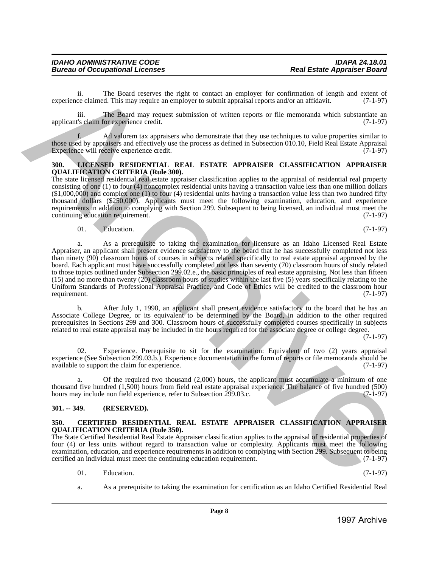ii. The Board reserves the right to contact an employer for confirmation of length and extent of ce claimed. This may require an employer to submit appraisal reports and/or an affidavit. (7-1-97) experience claimed. This may require an employer to submit appraisal reports and/or an affidavit.

iii. The Board may request submission of written reports or file memoranda which substantiate an applicant's claim for experience credit. (7-1-97)

f. Ad valorem tax appraisers who demonstrate that they use techniques to value properties similar to those used by appraisers and effectively use the process as defined in Subsection 010.10, Field Real Estate Appraisal Experience will receive experience credit. (7-1-97)

### <span id="page-6-0"></span>**300. LICENSED RESIDENTIAL REAL ESTATE APPRAISER CLASSIFICATION APPRAISER QUALIFICATION CRITERIA (Rule 300).**

The state licensed residential real estate appraiser classification applies to the appraisal of residential real property consisting of one (1) to four (4) noncomplex residential units having a transaction value less than one million dollars  $(1,000,000)$  and complex one (1) to four (4) residential units having a transaction value less than two hundred fifty thousand dollars (\$250,000). Applicants must meet the following examination, education, and experience requirements in addition to complying with Section 299. Subsequent to being licensed, an individual must meet the continuing education requirement. (7-1-97)

### $01.$  Education.  $(7-1-97)$

a. As a prerequisite to taking the examination for licensure as an Idaho Licensed Real Estate Appraiser, an applicant shall present evidence satisfactory to the board that he has successfully completed not less than ninety (90) classroom hours of courses in subjects related specifically to real estate appraisal approved by the board. Each applicant must have successfully completed not less than seventy (70) classroom hours of study related to those topics outlined under Subsection 299.02.e., the basic principles of real estate appraising. Not less than fifteen (15) and no more than twenty (20) classroom hours of studies within the last five (5) years specifically relating to the Uniform Standards of Professional Appraisal Practice, and Code of Ethics will be credited to the classroom hour requirement. (7-1-97) xigorities shared This more theoretically incomer in evaluation of recommends with a single experimental in the control of the control of the control of the control of the control of the control of the control of the cont

b. After July 1, 1998, an applicant shall present evidence satisfactory to the board that he has an Associate College Degree, or its equivalent to be determined by the Board, in addition to the other required prerequisites in Sections 299 and 300. Classroom hours of successfully completed courses specifically in subjects related to real estate appraisal may be included in the hours required for the associate degree or college degree.

(7-1-97)

02. Experience. Prerequisite to sit for the examination: Equivalent of two (2) years appraisal experience (See Subsection 299.03.b.). Experience documentation in the form of reports or file memoranda should be available to support the claim for experience. (7-1-97) available to support the claim for experience.

a. Of the required two thousand (2,000) hours, the applicant must accumulate a minimum of one thousand five hundred (1,500) hours from field real estate appraisal experience. The balance of five hundred (500) hours may include non field experience, refer to Subsection 299.03.c. (7-1-97) hours may include non field experience, refer to Subsection 299.03.c.

### <span id="page-6-1"></span>**301. -- 349. (RESERVED).**

### <span id="page-6-2"></span>**350. CERTIFIED RESIDENTIAL REAL ESTATE APPRAISER CLASSIFICATION APPRAISER QUALIFICATION CRITERIA (Rule 350).**

The State Certified Residential Real Estate Appraiser classification applies to the appraisal of residential properties of four (4) or less units without regard to transaction value or complexity. Applicants must meet the following examination, education, and experience requirements in addition to complying with Section 299. Subsequent to being certified an individual must meet the continuing education requirement. (7-1-97) certified an individual must meet the continuing education requirement.

- 01. Education.  $(7-1-97)$
- a. As a prerequisite to taking the examination for certification as an Idaho Certified Residential Real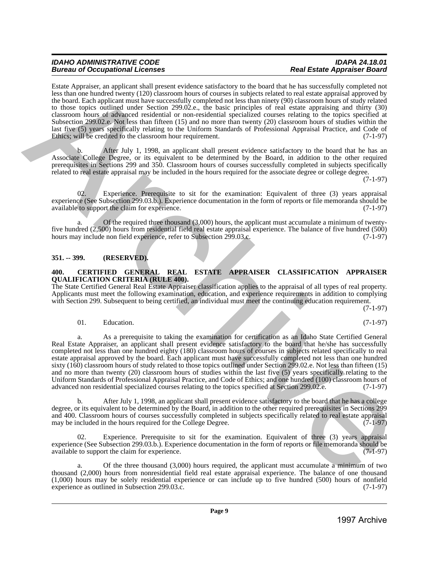Estate Appraiser, an applicant shall present evidence satisfactory to the board that he has successfully completed not less than one hundred twenty (120) classroom hours of courses in subjects related to real estate appraisal approved by the board. Each applicant must have successfully completed not less than ninety (90) classroom hours of study related to those topics outlined under Section 299.02.e., the basic principles of real estate appraising and thirty (30) classroom hours of advanced residential or non-residential specialized courses relating to the topics specified at Subsection 299.02.e. Not less than fifteen (15) and no more than twenty (20) classroom hours of studies within the last five (5) years specifically relating to the Uniform Standards of Professional Appraisal Practice, and Code of Ethics; will be credited to the classroom hour requirement. (7-1-97)

After July 1, 1998, an applicant shall present evidence satisfactory to the board that he has an Associate College Degree, or its equivalent to be determined by the Board, in addition to the other required prerequisites in Sections 299 and 350. Classroom hours of courses successfully completed in subjects specifically related to real estate appraisal may be included in the hours required for the associate degree or college degree.

(7-1-97)

02. Experience. Prerequisite to sit for the examination: Equivalent of three (3) years appraisal experience (See Subsection 299.03.b.). Experience documentation in the form of reports or file memoranda should be available to support the claim for experience. available to support the claim for experience.

Of the required three thousand  $(3,000)$  hours, the applicant must accumulate a minimum of twentyfive hundred (2,500) hours from residential field real estate appraisal experience. The balance of five hundred (500) hours may include non field experience, refer to Subsection 299.03.c. hours may include non field experience, refer to Subsection 299.03.c.

### <span id="page-7-0"></span>**351. -- 399. (RESERVED).**

### <span id="page-7-1"></span>**400. CERTIFIED GENERAL REAL ESTATE APPRAISER CLASSIFICATION APPRAISER QUALIFICATION CRITERIA (RULE 400).**

The State Certified General Real Estate Appraiser classification applies to the appraisal of all types of real property. Applicants must meet the following examination, education, and experience requirements in addition to complying with Section 299. Subsequent to being certified, an individual must meet the continuing education requirement.

(7-1-97)

### 01. Education.  $(7-1-97)$

a. As a prerequisite to taking the examination for certification as an Idaho State Certified General Real Estate Appraiser, an applicant shall present evidence satisfactory to the board that he/she has successfully completed not less than one hundred eighty (180) classroom hours of courses in subjects related specifically to real estate appraisal approved by the board. Each applicant must have successfully completed not less than one hundred sixty (160) classroom hours of study related to those topics outlined under Section 299.02.e. Not less than fifteen (15) and no more than twenty (20) classroom hours of studies within the last five (5) years specifically relating to the Uniform Standards of Professional Appraisal Practice, and Code of Ethics; and one hundred (100) classroom hours of advanced non residential specialized courses relating to the topics specified at Section 299.02.e. (7-1-97) Example, the state of the state of the state of the state in the state in the state of the state of the state of the state in the state in the state of the state in the state in the state in the state of the state in the

b. After July 1, 1998, an applicant shall present evidence satisfactory to the board that he has a college degree, or its equivalent to be determined by the Board, in addition to the other required prerequisites in Sections 299 and 400. Classroom hours of courses successfully completed in subjects specifically related to real estate appraisal may be included in the hours required for the College Degree. (7-1-97)

Experience. Prerequisite to sit for the examination. Equivalent of three (3) years appraisal experience (See Subsection 299.03.b.). Experience documentation in the form of reports or file memoranda should be available to support the claim for experience. (7-1-97)

Of the three thousand  $(3,000)$  hours required, the applicant must accumulate a minimum of two thousand (2,000) hours from nonresidential field real estate appraisal experience. The balance of one thousand  $(1,000)$  hours may be solely residential experience or can include up to five hundred (500) hours of nonfield experience as outlined in Subsection 299.03.c. experience as outlined in Subsection 299.03.c.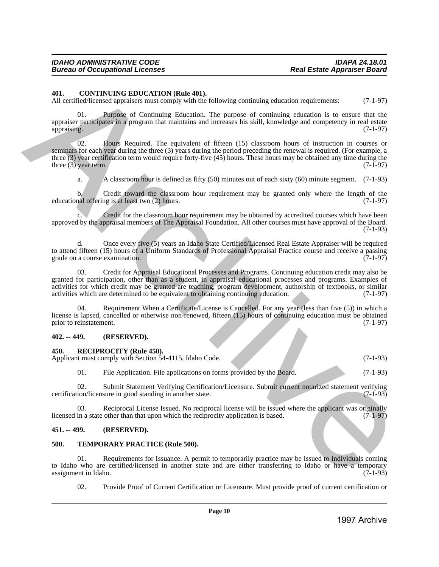### <span id="page-8-0"></span>**401. CONTINUING EDUCATION (Rule 401).**

All certified/licensed appraisers must comply with the following continuing education requirements: (7-1-97)

01. Purpose of Continuing Education. The purpose of continuing education is to ensure that the appraiser participates in a program that maintains and increases his skill, knowledge and competency in real estate appraising. (7-1-97) appraising. (7-1-97)

02. Hours Required. The equivalent of fifteen (15) classroom hours of instruction in courses or seminars for each year during the three (3) years during the period preceding the renewal is required. (For example, a three (3) year certification term would require forty-five (45) hours. These hours may be obtained any time during the three (3) year term. (7-1-97) three  $(3)$  year term. 40. CONTROL TO CONFIGENT (SEE ARCHIVE AND CONFIGE CONTROL TO CONFIGE CONTROL TO CONFIGE CONTROL TO CONFIGE CONTROL TO CONFIGE CONTROL TO CONFIGE CONTROL TO CONFIGE CONTROL TO CONFIGE CONTROL TO CONFIGE CONTROL TO CONFIGE

a. A classroom hour is defined as fifty  $(50)$  minutes out of each sixty  $(60)$  minute segment.  $(7-1-93)$ 

b. Credit toward the classroom hour requirement may be granted only where the length of the nal offering is at least two  $(2)$  hours.  $(7-1-97)$ educational offering is at least two  $(2)$  hours.

c. Credit for the classroom hour requirement may be obtained by accredited courses which have been approved by the appraisal members of The Appraisal Foundation. All other courses must have approval of the Board. (7-1-93)

d. Once every five (5) years an Idaho State Certified/Licensed Real Estate Appraiser will be required to attend fifteen (15) hours of a Uniform Standards of Professional Appraisal Practice course and receive a passing grade on a course examination. (7-1-97) grade on a course examination.

03. Credit for Appraisal Educational Processes and Programs. Continuing education credit may also be granted for participation, other than as a student, in appraisal educational processes and programs. Examples of activities for which credit may be granted are teaching, program development, authorship of textbooks, or similar activities which are determined to be equivalent to obtaining continuing education. (7-1-97) activities which are determined to be equivalent to obtaining continuing education.

04. Requirement When a Certificate/License is Cancelled. For any year (less than five (5)) in which a license is lapsed, cancelled or otherwise non-renewed, fifteen (15) hours of continuing education must be obtained prior to reinstatement. (7-1-97)

### <span id="page-8-1"></span>**402. -- 449. (RESERVED).**

### <span id="page-8-2"></span>**450. RECIPROCITY (Rule 450).**

Applicant must comply with Section 54-4115, Idaho Code. (7-1-93)

01. File Application. File applications on forms provided by the Board. (7-1-93)

02. Submit Statement Verifying Certification/Licensure. Submit current notarized statement verifying ion/licensure in good standing in another state. (7-1-93) certification/licensure in good standing in another state.

03. Reciprocal License Issued. No reciprocal license will be issued where the applicant was originally in a state other than that upon which the reciprocity application is based.  $(7-1-97)$ licensed in a state other than that upon which the reciprocity application is based.

### <span id="page-8-3"></span>**451. -- 499. (RESERVED).**

### <span id="page-8-4"></span>**500. TEMPORARY PRACTICE (Rule 500).**

01. Requirements for Issuance. A permit to temporarily practice may be issued to individuals coming to Idaho who are certified/licensed in another state and are either transferring to Idaho or have a temporary assignment in Idaho. (7-1-93) assignment in Idaho.

02. Provide Proof of Current Certification or Licensure. Must provide proof of current certification or